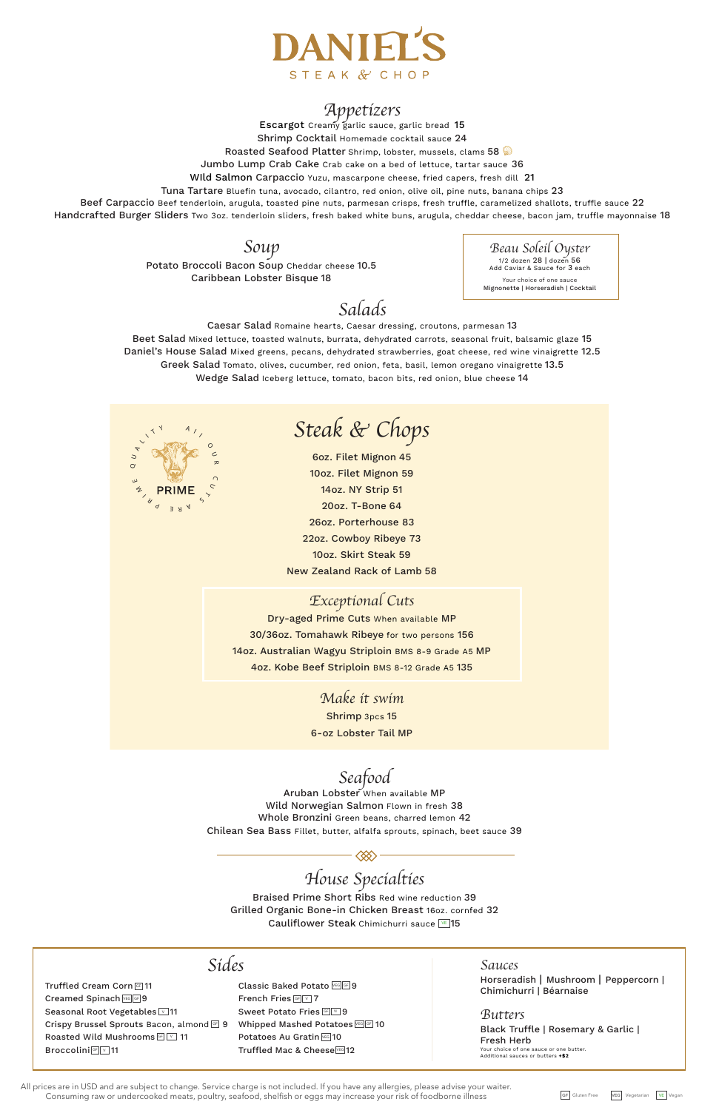All prices are in USD and are subject to change. Service charge is not included. If you have any allergies, please advise your waiter. Consuming raw or undercooked meats, poultry, seafood, shelfish or eggs may increase your risk of foodborne illness

GF Gluten Free VEG Vegetarian VE

Escargot Creamy garlic sauce, garlic bread 15 Shrimp Cocktail Homemade cocktail sauce 24 Roasted Seafood Platter Shrimp, lobster, mussels, clams 58 Jumbo Lump Crab Cake Crab cake on a bed of lettuce, tartar sauce 36 WIld Salmon Carpaccio Yuzu, mascarpone cheese, fried capers, fresh dill 21

Beef Carpaccio Beef tenderloin, arugula, toasted pine nuts, parmesan crisps, fresh truffle, caramelized shallots, truffle sauce 22 Handcrafted Burger Sliders Two 30z. tenderloin sliders, fresh baked white buns, arugula, cheddar cheese, bacon jam, truffle mayonnaise 18



### *Appetizers*

Braised Prime Short Ribs Red wine reduction 39 Grilled Organic Bone-in Chicken Breast 16oz. cornfed 32 Cauliflower Steak Chimichurri sauce **VE** 15

Tuna Tartare Bluefin tuna, avocado, cilantro, red onion, olive oil, pine nuts, banana chips 23

# *Steak & Chops*

|                                                                           | Sídes                                                          | Sauces                                                                       |
|---------------------------------------------------------------------------|----------------------------------------------------------------|------------------------------------------------------------------------------|
| Truffled Cream Corn G 11                                                  | Classic Baked Potato VEG GF 9                                  | Horseradish   Mushroom   Peppercorn  <br>Chimichurri   Béarnaise             |
| Creamed Spinach VEG GF 9<br>Seasonal Root Vegetables 11                   | French Fries GF V 7<br>Sweet Potato Fries GF V 9               | <i>Butters</i>                                                               |
| Crispy Brussel Sprouts Bacon, almond GF 9<br>Roasted Wild Mushrooms GF 11 | Whipped Mashed Potatoes VEG GE 10<br>Potatoes Au Gratin VEG 10 | Black Truffle   Rosemary & Garlic  <br>Fresh Herb                            |
| <b>Broccolini GF</b> 11                                                   | Truffled Mac & Cheese <a>[VEG]</a> 12                          | Your choice of one sauce or one butter.<br>Additional sauces or butters +\$2 |

6oz. Filet Mignon 45 10oz. Filet Mignon 59 14oz. NY Strip 51 20oz. T-Bone 64 26oz. Porterhouse 83 22oz. Cowboy Ribeye 73 10oz. Skirt Steak 59 New Zealand Rack of Lamb 58

### *Exceptional Cuts*

Dry-aged Prime Cuts When available MP 30/36oz. Tomahawk Ribeye for two persons 156 14oz. Australian Wagyu Striploin BMS 8-9 Grade A5 MP 4oz. Kobe Beef Striploin BMS 8-12 Grade A5 135

> *Make it swim* Shrimp 3pcs 15 6-oz Lobster Tail MP



 $\langle \otimes \rangle$ 

*Beau Soleil Oyster*  1/2 dozen 28 | dozen 56 Add Caviar & Sauce for 3 each Your choice of one sauce Mignonette | Horseradish | Cocktail

# *Salads*

Caesar Salad Romaine hearts, Caesar dressing, croutons, parmesan 13 Beet Salad Mixed lettuce, toasted walnuts, burrata, dehydrated carrots, seasonal fruit, balsamic glaze 15 Daniel's House Salad Mixed greens, pecans, dehydrated strawberries, goat cheese, red wine vinaigrette 12.5 Greek Salad Tomato, olives, cucumber, red onion, feta, basil, lemon oregano vinaigrette 13.5 Wedge Salad Iceberg lettuce, tomato, bacon bits, red onion, blue cheese 14

#### *Soup*

Potato Broccoli Bacon Soup Cheddar cheese 10.5 Caribbean Lobster Bisque 18

*Seafood*

Aruban Lobster When available MP Wild Norwegian Salmon Flown in fresh 38

Whole Bronzini Green beans, charred lemon 42 Chilean Sea Bass Fillet, butter, alfalfa sprouts, spinach, beet sauce 39